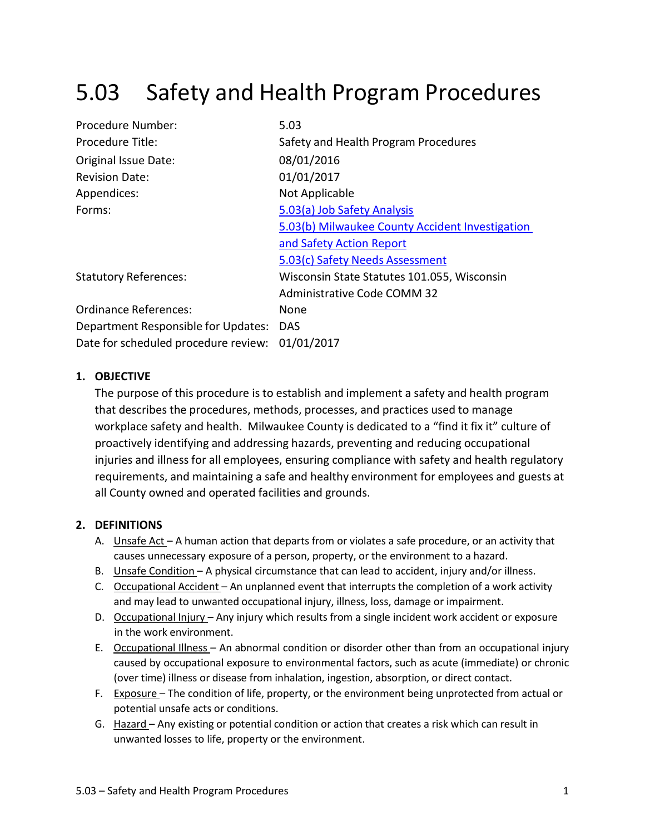# 5.03 Safety and Health Program Procedures

| Procedure Number:                    | 5.03                                            |
|--------------------------------------|-------------------------------------------------|
| Procedure Title:                     | Safety and Health Program Procedures            |
| Original Issue Date:                 | 08/01/2016                                      |
| <b>Revision Date:</b>                | 01/01/2017                                      |
| Appendices:                          | Not Applicable                                  |
| Forms:                               | 5.03(a) Job Safety Analysis                     |
|                                      | 5.03(b) Milwaukee County Accident Investigation |
|                                      | and Safety Action Report                        |
|                                      | 5.03(c) Safety Needs Assessment                 |
| <b>Statutory References:</b>         | Wisconsin State Statutes 101.055, Wisconsin     |
|                                      | <b>Administrative Code COMM 32</b>              |
| Ordinance References:                | None                                            |
| Department Responsible for Updates:  | DAS                                             |
| Date for scheduled procedure review: | 01/01/2017                                      |

## **1. OBJECTIVE**

The purpose of this procedure is to establish and implement a safety and health program that describes the procedures, methods, processes, and practices used to manage workplace safety and health. Milwaukee County is dedicated to a "find it fix it" culture of proactively identifying and addressing hazards, preventing and reducing occupational injuries and illness for all employees, ensuring compliance with safety and health regulatory requirements, and maintaining a safe and healthy environment for employees and guests at all County owned and operated facilities and grounds.

# **2. DEFINITIONS**

- A. Unsafe Act A human action that departs from or violates a safe procedure, or an activity that causes unnecessary exposure of a person, property, or the environment to a hazard.
- B. Unsafe Condition A physical circumstance that can lead to accident, injury and/or illness.
- C. Occupational Accident An unplanned event that interrupts the completion of a work activity and may lead to unwanted occupational injury, illness, loss, damage or impairment.
- D. Occupational Injury Any injury which results from a single incident work accident or exposure in the work environment.
- E. Occupational Illness An abnormal condition or disorder other than from an occupational injury caused by occupational exposure to environmental factors, such as acute (immediate) or chronic (over time) illness or disease from inhalation, ingestion, absorption, or direct contact.
- F. Exposure The condition of life, property, or the environment being unprotected from actual or potential unsafe acts or conditions.
- G. Hazard Any existing or potential condition or action that creates a risk which can result in unwanted losses to life, property or the environment.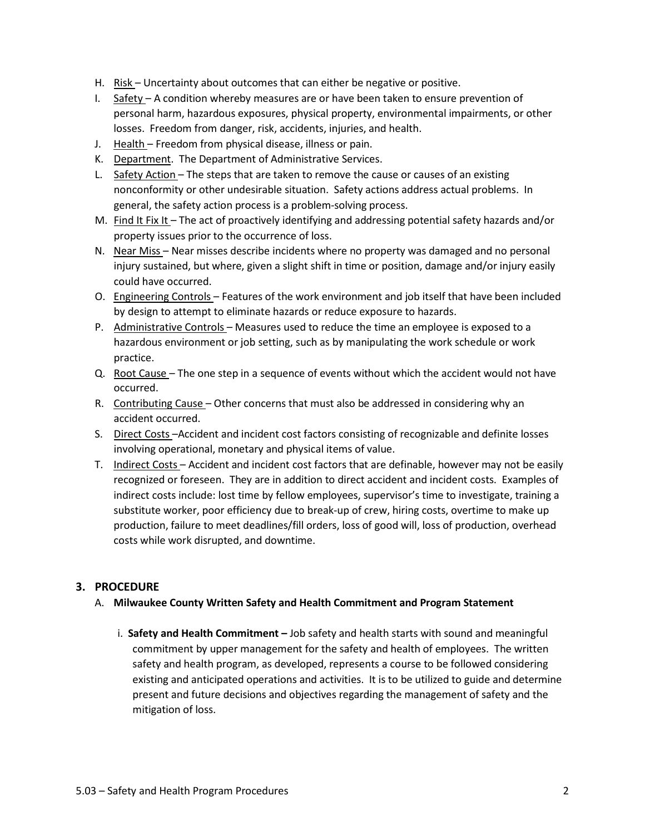- H. Risk Uncertainty about outcomes that can either be negative or positive.
- I. Safety A condition whereby measures are or have been taken to ensure prevention of personal harm, hazardous exposures, physical property, environmental impairments, or other losses. Freedom from danger, risk, accidents, injuries, and health.
- J. Health Freedom from physical disease, illness or pain.
- K. Department. The Department of Administrative Services.
- L. Safety Action The steps that are taken to remove the cause or causes of an existing nonconformity or other undesirable situation. Safety actions address actual problems. In general, the safety action process is a problem-solving process.
- M. Find It Fix It The act of proactively identifying and addressing potential safety hazards and/or property issues prior to the occurrence of loss.
- N. Near Miss Near misses describe incidents where no property was damaged and no personal injury sustained, but where, given a slight shift in time or position, damage and/or injury easily could have occurred.
- O. Engineering Controls Features of the work environment and job itself that have been included by design to attempt to eliminate hazards or reduce exposure to hazards.
- P. Administrative Controls Measures used to reduce the time an employee is exposed to a hazardous environment or job setting, such as by manipulating the work schedule or work practice.
- Q. Root Cause The one step in a sequence of events without which the accident would not have occurred.
- R. Contributing Cause Other concerns that must also be addressed in considering why an accident occurred.
- S. Direct Costs-Accident and incident cost factors consisting of recognizable and definite losses involving operational, monetary and physical items of value.
- T. Indirect Costs Accident and incident cost factors that are definable, however may not be easily recognized or foreseen. They are in addition to direct accident and incident costs. Examples of indirect costs include: lost time by fellow employees, supervisor's time to investigate, training a substitute worker, poor efficiency due to break-up of crew, hiring costs, overtime to make up production, failure to meet deadlines/fill orders, loss of good will, loss of production, overhead costs while work disrupted, and downtime.

# **3. PROCEDURE**

- A. **Milwaukee County Written Safety and Health Commitment and Program Statement**
	- i. **Safety and Health Commitment –** Job safety and health starts with sound and meaningful commitment by upper management for the safety and health of employees. The written safety and health program, as developed, represents a course to be followed considering existing and anticipated operations and activities. It is to be utilized to guide and determine present and future decisions and objectives regarding the management of safety and the mitigation of loss.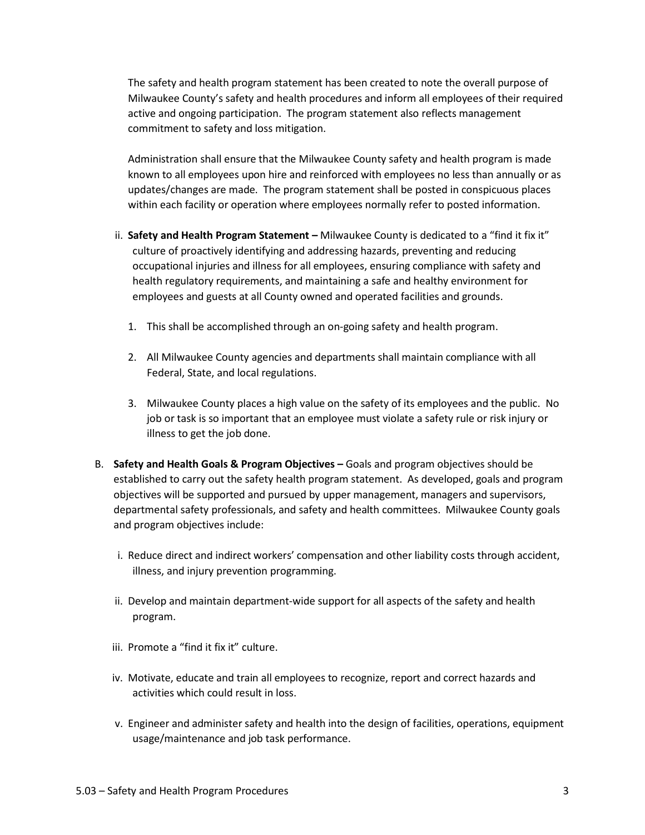The safety and health program statement has been created to note the overall purpose of Milwaukee County's safety and health procedures and inform all employees of their required active and ongoing participation. The program statement also reflects management commitment to safety and loss mitigation.

Administration shall ensure that the Milwaukee County safety and health program is made known to all employees upon hire and reinforced with employees no less than annually or as updates/changes are made. The program statement shall be posted in conspicuous places within each facility or operation where employees normally refer to posted information.

- ii. **Safety and Health Program Statement –** Milwaukee County is dedicated to a "find it fix it" culture of proactively identifying and addressing hazards, preventing and reducing occupational injuries and illness for all employees, ensuring compliance with safety and health regulatory requirements, and maintaining a safe and healthy environment for employees and guests at all County owned and operated facilities and grounds.
	- 1. This shall be accomplished through an on-going safety and health program.
	- 2. All Milwaukee County agencies and departments shall maintain compliance with all Federal, State, and local regulations.
	- 3. Milwaukee County places a high value on the safety of its employees and the public. No job or task is so important that an employee must violate a safety rule or risk injury or illness to get the job done.
- B. **Safety and Health Goals & Program Objectives –** Goals and program objectives should be established to carry out the safety health program statement. As developed, goals and program objectives will be supported and pursued by upper management, managers and supervisors, departmental safety professionals, and safety and health committees. Milwaukee County goals and program objectives include:
	- i. Reduce direct and indirect workers' compensation and other liability costs through accident, illness, and injury prevention programming.
	- ii. Develop and maintain department-wide support for all aspects of the safety and health program.
	- iii. Promote a "find it fix it" culture.
	- iv. Motivate, educate and train all employees to recognize, report and correct hazards and activities which could result in loss.
	- v. Engineer and administer safety and health into the design of facilities, operations, equipment usage/maintenance and job task performance.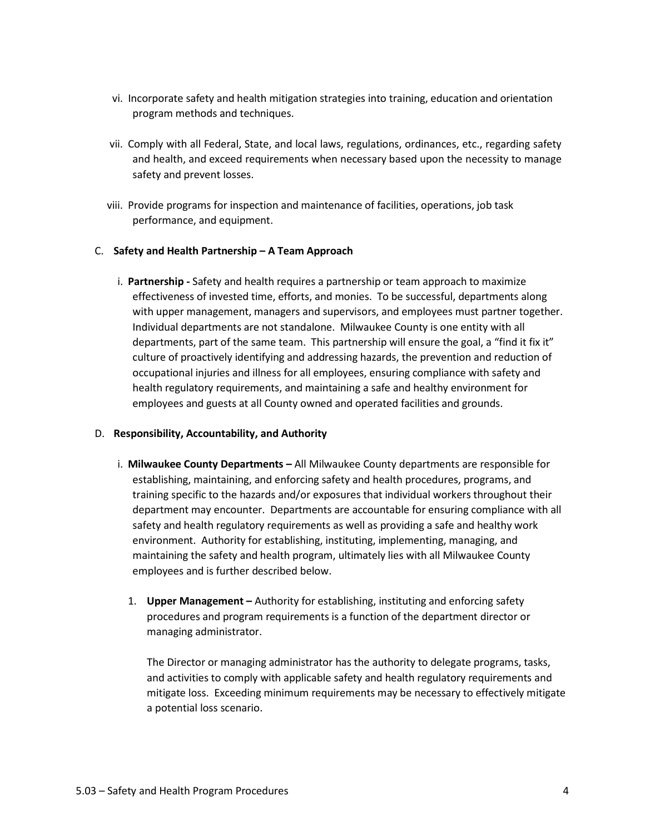- vi. Incorporate safety and health mitigation strategies into training, education and orientation program methods and techniques.
- vii. Comply with all Federal, State, and local laws, regulations, ordinances, etc., regarding safety and health, and exceed requirements when necessary based upon the necessity to manage safety and prevent losses.
- viii. Provide programs for inspection and maintenance of facilities, operations, job task performance, and equipment.

## C. **Safety and Health Partnership – A Team Approach**

i. **Partnership -** Safety and health requires a partnership or team approach to maximize effectiveness of invested time, efforts, and monies. To be successful, departments along with upper management, managers and supervisors, and employees must partner together. Individual departments are not standalone. Milwaukee County is one entity with all departments, part of the same team. This partnership will ensure the goal, a "find it fix it" culture of proactively identifying and addressing hazards, the prevention and reduction of occupational injuries and illness for all employees, ensuring compliance with safety and health regulatory requirements, and maintaining a safe and healthy environment for employees and guests at all County owned and operated facilities and grounds.

## D. **Responsibility, Accountability, and Authority**

- i. **Milwaukee County Departments –** All Milwaukee County departments are responsible for establishing, maintaining, and enforcing safety and health procedures, programs, and training specific to the hazards and/or exposures that individual workers throughout their department may encounter. Departments are accountable for ensuring compliance with all safety and health regulatory requirements as well as providing a safe and healthy work environment. Authority for establishing, instituting, implementing, managing, and maintaining the safety and health program, ultimately lies with all Milwaukee County employees and is further described below.
	- 1. **Upper Management –** Authority for establishing, instituting and enforcing safety procedures and program requirements is a function of the department director or managing administrator.

The Director or managing administrator has the authority to delegate programs, tasks, and activities to comply with applicable safety and health regulatory requirements and mitigate loss. Exceeding minimum requirements may be necessary to effectively mitigate a potential loss scenario.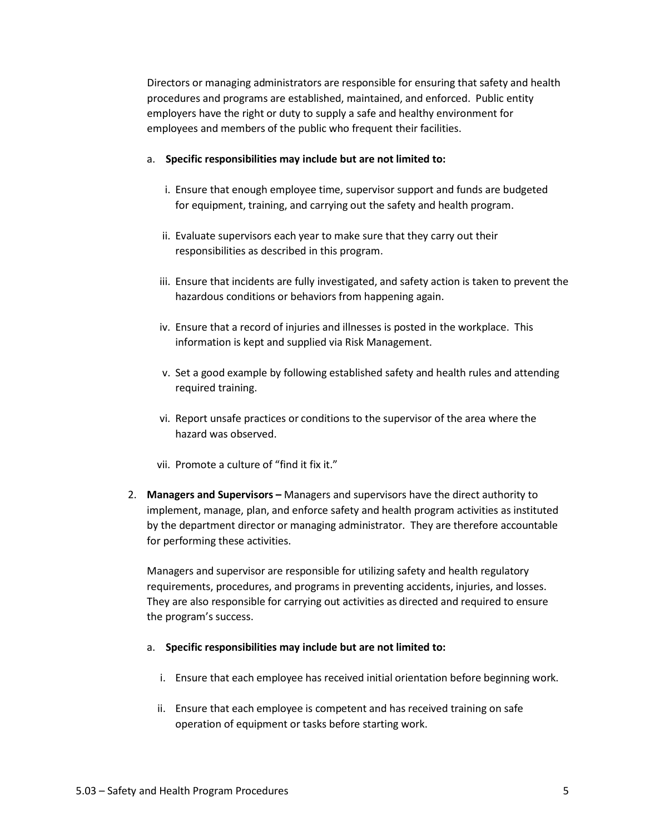Directors or managing administrators are responsible for ensuring that safety and health procedures and programs are established, maintained, and enforced. Public entity employers have the right or duty to supply a safe and healthy environment for employees and members of the public who frequent their facilities.

#### a. **Specific responsibilities may include but are not limited to:**

- i. Ensure that enough employee time, supervisor support and funds are budgeted for equipment, training, and carrying out the safety and health program.
- ii. Evaluate supervisors each year to make sure that they carry out their responsibilities as described in this program.
- iii. Ensure that incidents are fully investigated, and safety action is taken to prevent the hazardous conditions or behaviors from happening again.
- iv. Ensure that a record of injuries and illnesses is posted in the workplace. This information is kept and supplied via Risk Management.
- v. Set a good example by following established safety and health rules and attending required training.
- vi. Report unsafe practices or conditions to the supervisor of the area where the hazard was observed.
- vii. Promote a culture of "find it fix it."
- 2. **Managers and Supervisors –** Managers and supervisors have the direct authority to implement, manage, plan, and enforce safety and health program activities as instituted by the department director or managing administrator. They are therefore accountable for performing these activities.

Managers and supervisor are responsible for utilizing safety and health regulatory requirements, procedures, and programs in preventing accidents, injuries, and losses. They are also responsible for carrying out activities as directed and required to ensure the program's success.

#### a. **Specific responsibilities may include but are not limited to:**

- i. Ensure that each employee has received initial orientation before beginning work.
- ii. Ensure that each employee is competent and has received training on safe operation of equipment or tasks before starting work.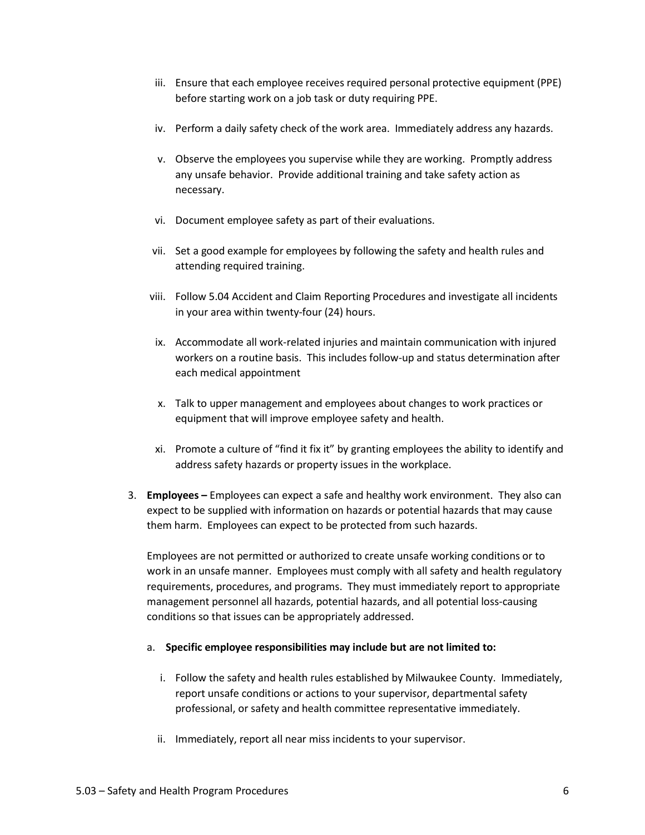- iii. Ensure that each employee receives required personal protective equipment (PPE) before starting work on a job task or duty requiring PPE.
- iv. Perform a daily safety check of the work area. Immediately address any hazards.
- v. Observe the employees you supervise while they are working. Promptly address any unsafe behavior. Provide additional training and take safety action as necessary.
- vi. Document employee safety as part of their evaluations.
- vii. Set a good example for employees by following the safety and health rules and attending required training.
- viii. Follow 5.04 Accident and Claim Reporting Procedures and investigate all incidents in your area within twenty-four (24) hours.
- ix. Accommodate all work-related injuries and maintain communication with injured workers on a routine basis. This includes follow-up and status determination after each medical appointment
- x. Talk to upper management and employees about changes to work practices or equipment that will improve employee safety and health.
- xi. Promote a culture of "find it fix it" by granting employees the ability to identify and address safety hazards or property issues in the workplace.
- 3. **Employees –** Employees can expect a safe and healthy work environment. They also can expect to be supplied with information on hazards or potential hazards that may cause them harm. Employees can expect to be protected from such hazards.

Employees are not permitted or authorized to create unsafe working conditions or to work in an unsafe manner. Employees must comply with all safety and health regulatory requirements, procedures, and programs. They must immediately report to appropriate management personnel all hazards, potential hazards, and all potential loss-causing conditions so that issues can be appropriately addressed.

- a. **Specific employee responsibilities may include but are not limited to:**
	- i. Follow the safety and health rules established by Milwaukee County. Immediately, report unsafe conditions or actions to your supervisor, departmental safety professional, or safety and health committee representative immediately.
	- ii. Immediately, report all near miss incidents to your supervisor.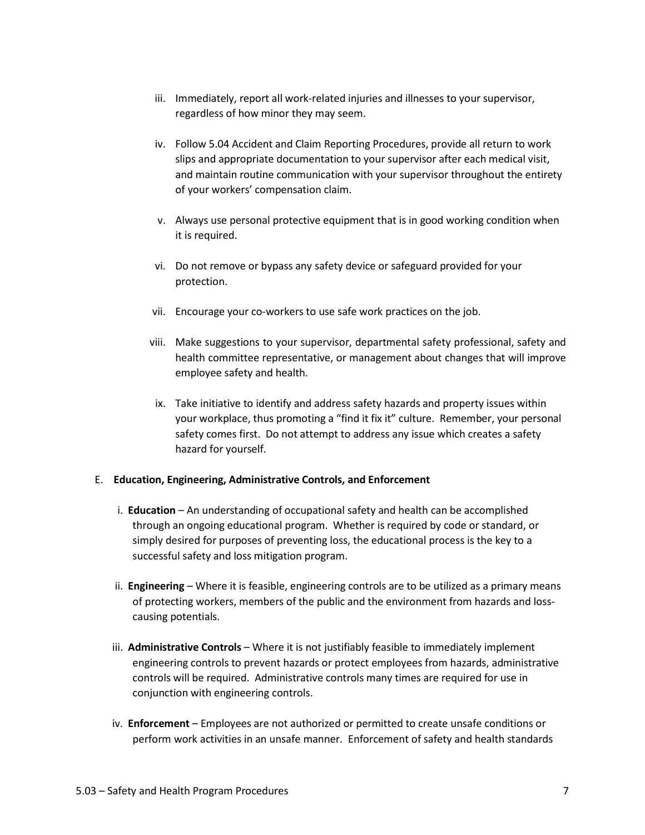- iii. Immediately, report all work-related injuries and illnesses to your supervisor, regardless of how minor they may seem.
- iv. Follow 5.04 Accident and Claim Reporting Procedures, provide all return to work slips and appropriate documentation to your supervisor after each medical visit, and maintain routine communication with your supervisor throughout the entirety of your workers' compensation claim.
- v. Always use personal protective equipment that is in good working condition when it is required.
- vi. Do not remove or bypass any safety device or safeguard provided for your protection.
- vii. Encourage your co-workers to use safe work practices on the job.
- viii. Make suggestions to your supervisor, departmental safety professional, safety and health committee representative, or management about changes that will improve employee safety and health.
- ix. Take initiative to identify and address safety hazards and property issues within your workplace, thus promoting a "find it fix it" culture. Remember, your personal safety comes first. Do not attempt to address any issue which creates a safety hazard for yourself.

## E. **Education, Engineering, Administrative Controls, and Enforcement**

- i. **Education** An understanding of occupational safety and health can be accomplished through an ongoing educational program. Whether is required by code or standard, or simply desired for purposes of preventing loss, the educational process is the key to a successful safety and loss mitigation program.
- ii. **Engineering** Where it is feasible, engineering controls are to be utilized as a primary means of protecting workers, members of the public and the environment from hazards and losscausing potentials.
- iii. **Administrative Controls** Where it is not justifiably feasible to immediately implement engineering controls to prevent hazards or protect employees from hazards, administrative controls will be required. Administrative controls many times are required for use in conjunction with engineering controls.
- iv. **Enforcement** Employees are not authorized or permitted to create unsafe conditions or perform work activities in an unsafe manner. Enforcement of safety and health standards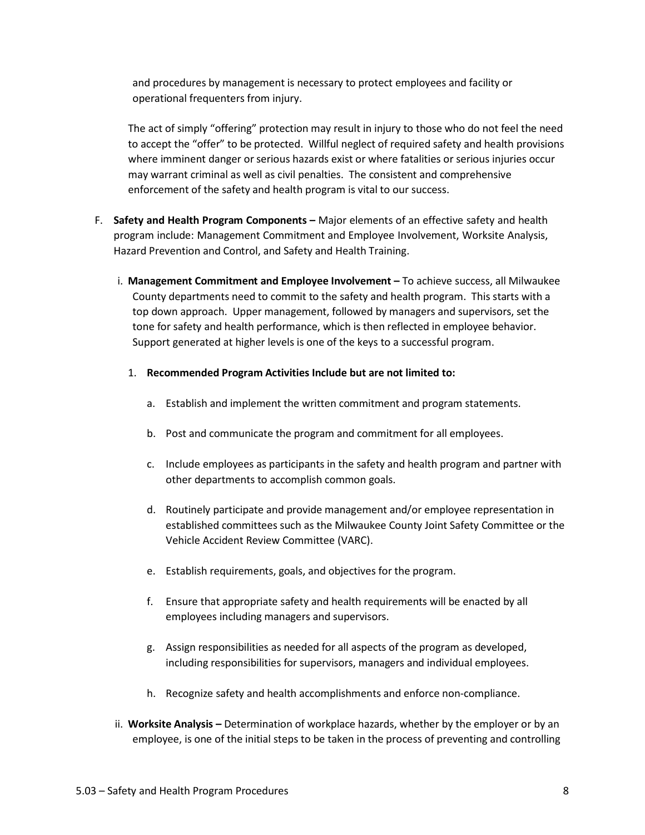and procedures by management is necessary to protect employees and facility or operational frequenters from injury.

The act of simply "offering" protection may result in injury to those who do not feel the need to accept the "offer" to be protected. Willful neglect of required safety and health provisions where imminent danger or serious hazards exist or where fatalities or serious injuries occur may warrant criminal as well as civil penalties. The consistent and comprehensive enforcement of the safety and health program is vital to our success.

- F. **Safety and Health Program Components –** Major elements of an effective safety and health program include: Management Commitment and Employee Involvement, Worksite Analysis, Hazard Prevention and Control, and Safety and Health Training.
	- i. **Management Commitment and Employee Involvement –** To achieve success, all Milwaukee County departments need to commit to the safety and health program. This starts with a top down approach. Upper management, followed by managers and supervisors, set the tone for safety and health performance, which is then reflected in employee behavior. Support generated at higher levels is one of the keys to a successful program.
		- 1. **Recommended Program Activities Include but are not limited to:**
			- a. Establish and implement the written commitment and program statements.
			- b. Post and communicate the program and commitment for all employees.
			- c. Include employees as participants in the safety and health program and partner with other departments to accomplish common goals.
			- d. Routinely participate and provide management and/or employee representation in established committees such as the Milwaukee County Joint Safety Committee or the Vehicle Accident Review Committee (VARC).
			- e. Establish requirements, goals, and objectives for the program.
			- f. Ensure that appropriate safety and health requirements will be enacted by all employees including managers and supervisors.
			- g. Assign responsibilities as needed for all aspects of the program as developed, including responsibilities for supervisors, managers and individual employees.
			- h. Recognize safety and health accomplishments and enforce non-compliance.
	- ii. **Worksite Analysis –** Determination of workplace hazards, whether by the employer or by an employee, is one of the initial steps to be taken in the process of preventing and controlling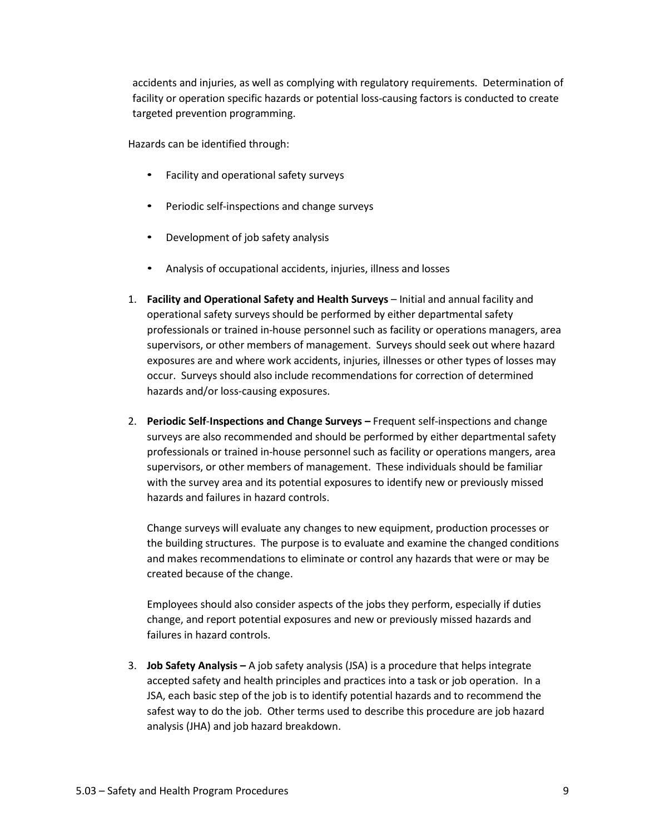accidents and injuries, as well as complying with regulatory requirements. Determination of facility or operation specific hazards or potential loss-causing factors is conducted to create targeted prevention programming.

Hazards can be identified through:

- Facility and operational safety surveys
- Periodic self-inspections and change surveys
- Development of job safety analysis
- Analysis of occupational accidents, injuries, illness and losses
- 1. **Facility and Operational Safety and Health Surveys** Initial and annual facility and operational safety surveys should be performed by either departmental safety professionals or trained in-house personnel such as facility or operations managers, area supervisors, or other members of management. Surveys should seek out where hazard exposures are and where work accidents, injuries, illnesses or other types of losses may occur. Surveys should also include recommendations for correction of determined hazards and/or loss-causing exposures.
- 2. **Periodic Self**-**Inspections and Change Surveys –** Frequent self-inspections and change surveys are also recommended and should be performed by either departmental safety professionals or trained in-house personnel such as facility or operations mangers, area supervisors, or other members of management. These individuals should be familiar with the survey area and its potential exposures to identify new or previously missed hazards and failures in hazard controls.

Change surveys will evaluate any changes to new equipment, production processes or the building structures. The purpose is to evaluate and examine the changed conditions and makes recommendations to eliminate or control any hazards that were or may be created because of the change.

Employees should also consider aspects of the jobs they perform, especially if duties change, and report potential exposures and new or previously missed hazards and failures in hazard controls.

3. **Job Safety Analysis –** A job safety analysis (JSA) is a procedure that helps integrate accepted safety and health principles and practices into a task or job operation. In a JSA, each basic step of the job is to identify potential hazards and to recommend the safest way to do the job. Other terms used to describe this procedure are job hazard analysis (JHA) and job hazard breakdown.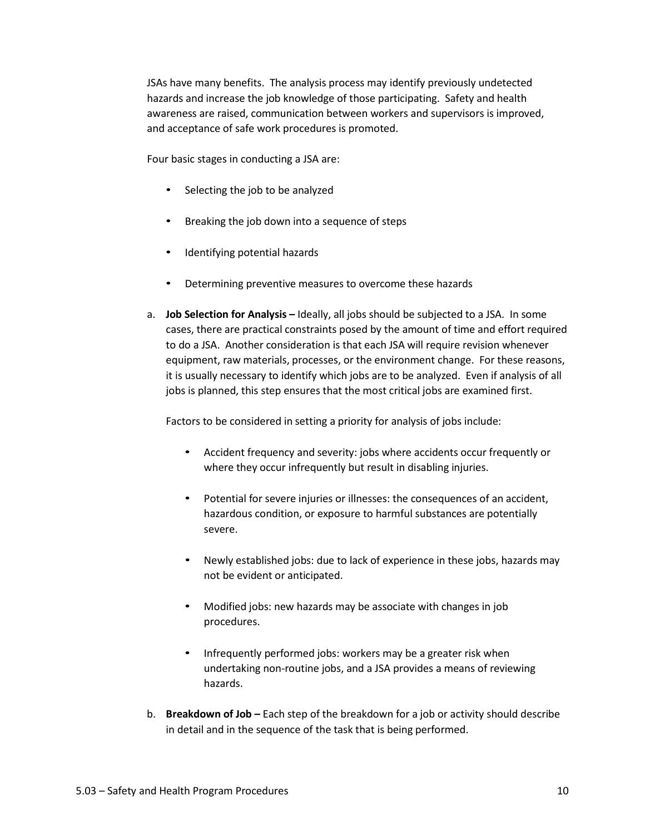JSAs have many benefits. The analysis process may identify previously undetected hazards and increase the job knowledge of those participating. Safety and health awareness are raised, communication between workers and supervisors is improved, and acceptance of safe work procedures is promoted.

Four basic stages in conducting a JSA are:

- Selecting the job to be analyzed
- Breaking the job down into a sequence of steps
- Identifying potential hazards
- Determining preventive measures to overcome these hazards
- a. **Job Selection for Analysis –** Ideally, all jobs should be subjected to a JSA. In some cases, there are practical constraints posed by the amount of time and effort required to do a JSA. Another consideration is that each JSA will require revision whenever equipment, raw materials, processes, or the environment change. For these reasons, it is usually necessary to identify which jobs are to be analyzed. Even if analysis of all jobs is planned, this step ensures that the most critical jobs are examined first.

Factors to be considered in setting a priority for analysis of jobs include:

- Accident frequency and severity: jobs where accidents occur frequently or where they occur infrequently but result in disabling injuries.
- Potential for severe injuries or illnesses: the consequences of an accident, hazardous condition, or exposure to harmful substances are potentially severe.
- Newly established jobs: due to lack of experience in these jobs, hazards may not be evident or anticipated.
- Modified jobs: new hazards may be associate with changes in job procedures.
- Infrequently performed jobs: workers may be a greater risk when undertaking non-routine jobs, and a JSA provides a means of reviewing hazards.
- b. **Breakdown of Job –** Each step of the breakdown for a job or activity should describe in detail and in the sequence of the task that is being performed.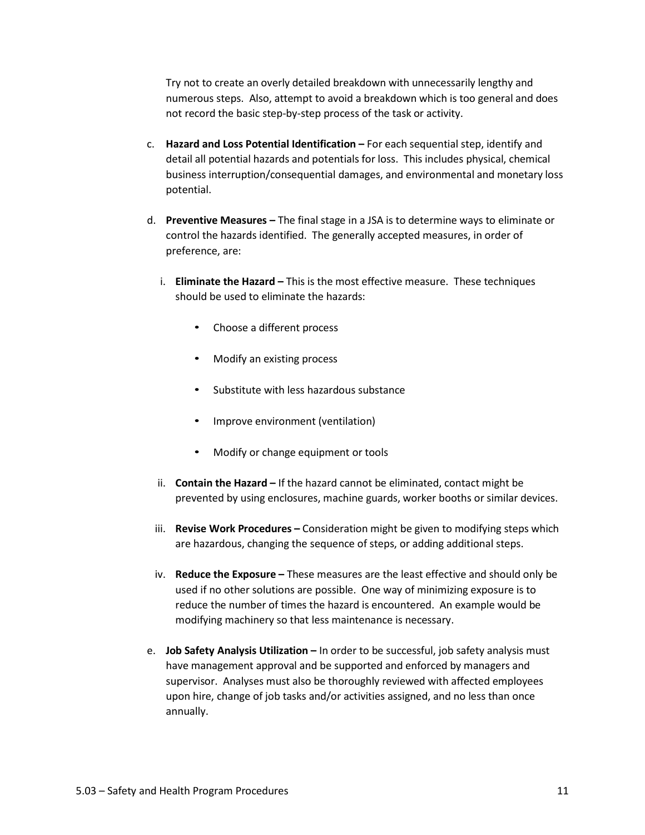Try not to create an overly detailed breakdown with unnecessarily lengthy and numerous steps. Also, attempt to avoid a breakdown which is too general and does not record the basic step-by-step process of the task or activity.

- c. **Hazard and Loss Potential Identification –** For each sequential step, identify and detail all potential hazards and potentials for loss. This includes physical, chemical business interruption/consequential damages, and environmental and monetary loss potential.
- d. **Preventive Measures –** The final stage in a JSA is to determine ways to eliminate or control the hazards identified. The generally accepted measures, in order of preference, are:
	- i. **Eliminate the Hazard –** This is the most effective measure. These techniques should be used to eliminate the hazards:
		- Choose a different process
		- Modify an existing process
		- Substitute with less hazardous substance
		- Improve environment (ventilation)
		- Modify or change equipment or tools
	- ii. **Contain the Hazard –** If the hazard cannot be eliminated, contact might be prevented by using enclosures, machine guards, worker booths or similar devices.
	- iii. **Revise Work Procedures –** Consideration might be given to modifying steps which are hazardous, changing the sequence of steps, or adding additional steps.
	- iv. **Reduce the Exposure –** These measures are the least effective and should only be used if no other solutions are possible. One way of minimizing exposure is to reduce the number of times the hazard is encountered. An example would be modifying machinery so that less maintenance is necessary.
- e. **Job Safety Analysis Utilization –** In order to be successful, job safety analysis must have management approval and be supported and enforced by managers and supervisor. Analyses must also be thoroughly reviewed with affected employees upon hire, change of job tasks and/or activities assigned, and no less than once annually.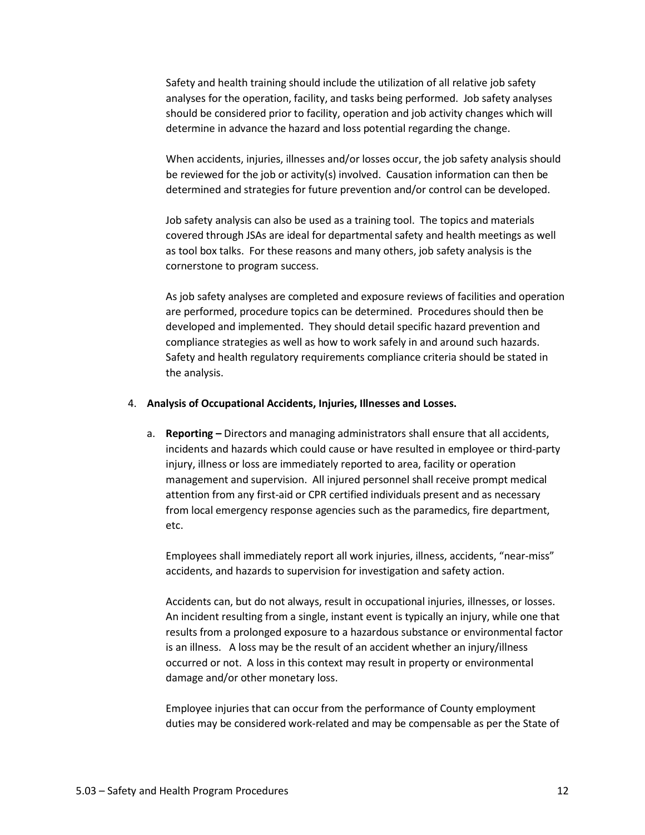Safety and health training should include the utilization of all relative job safety analyses for the operation, facility, and tasks being performed. Job safety analyses should be considered prior to facility, operation and job activity changes which will determine in advance the hazard and loss potential regarding the change.

When accidents, injuries, illnesses and/or losses occur, the job safety analysis should be reviewed for the job or activity(s) involved. Causation information can then be determined and strategies for future prevention and/or control can be developed.

Job safety analysis can also be used as a training tool. The topics and materials covered through JSAs are ideal for departmental safety and health meetings as well as tool box talks. For these reasons and many others, job safety analysis is the cornerstone to program success.

As job safety analyses are completed and exposure reviews of facilities and operation are performed, procedure topics can be determined. Procedures should then be developed and implemented. They should detail specific hazard prevention and compliance strategies as well as how to work safely in and around such hazards. Safety and health regulatory requirements compliance criteria should be stated in the analysis.

#### 4. **Analysis of Occupational Accidents, Injuries, Illnesses and Losses.**

a. **Reporting –** Directors and managing administrators shall ensure that all accidents, incidents and hazards which could cause or have resulted in employee or third-party injury, illness or loss are immediately reported to area, facility or operation management and supervision. All injured personnel shall receive prompt medical attention from any first-aid or CPR certified individuals present and as necessary from local emergency response agencies such as the paramedics, fire department, etc.

Employees shall immediately report all work injuries, illness, accidents, "near-miss" accidents, and hazards to supervision for investigation and safety action.

Accidents can, but do not always, result in occupational injuries, illnesses, or losses. An incident resulting from a single, instant event is typically an injury, while one that results from a prolonged exposure to a hazardous substance or environmental factor is an illness. A loss may be the result of an accident whether an injury/illness occurred or not. A loss in this context may result in property or environmental damage and/or other monetary loss.

Employee injuries that can occur from the performance of County employment duties may be considered work-related and may be compensable as per the State of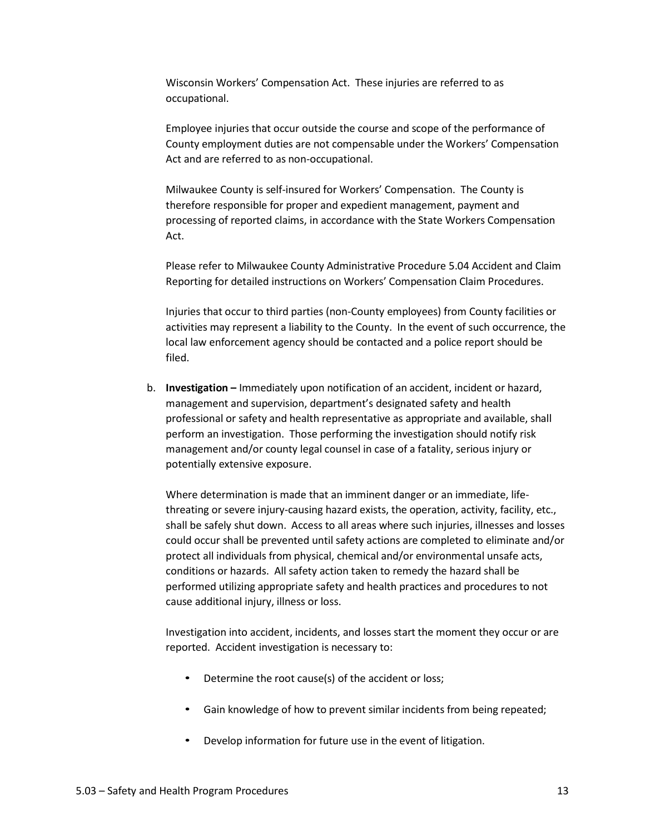Wisconsin Workers' Compensation Act. These injuries are referred to as occupational.

Employee injuries that occur outside the course and scope of the performance of County employment duties are not compensable under the Workers' Compensation Act and are referred to as non-occupational.

Milwaukee County is self-insured for Workers' Compensation. The County is therefore responsible for proper and expedient management, payment and processing of reported claims, in accordance with the State Workers Compensation Act.

Please refer to Milwaukee County Administrative Procedure 5.04 Accident and Claim Reporting for detailed instructions on Workers' Compensation Claim Procedures.

Injuries that occur to third parties (non-County employees) from County facilities or activities may represent a liability to the County. In the event of such occurrence, the local law enforcement agency should be contacted and a police report should be filed.

b. **Investigation –** Immediately upon notification of an accident, incident or hazard, management and supervision, department's designated safety and health professional or safety and health representative as appropriate and available, shall perform an investigation. Those performing the investigation should notify risk management and/or county legal counsel in case of a fatality, serious injury or potentially extensive exposure.

Where determination is made that an imminent danger or an immediate, lifethreating or severe injury-causing hazard exists, the operation, activity, facility, etc., shall be safely shut down. Access to all areas where such injuries, illnesses and losses could occur shall be prevented until safety actions are completed to eliminate and/or protect all individuals from physical, chemical and/or environmental unsafe acts, conditions or hazards. All safety action taken to remedy the hazard shall be performed utilizing appropriate safety and health practices and procedures to not cause additional injury, illness or loss.

Investigation into accident, incidents, and losses start the moment they occur or are reported. Accident investigation is necessary to:

- Determine the root cause(s) of the accident or loss;
- Gain knowledge of how to prevent similar incidents from being repeated;
- Develop information for future use in the event of litigation.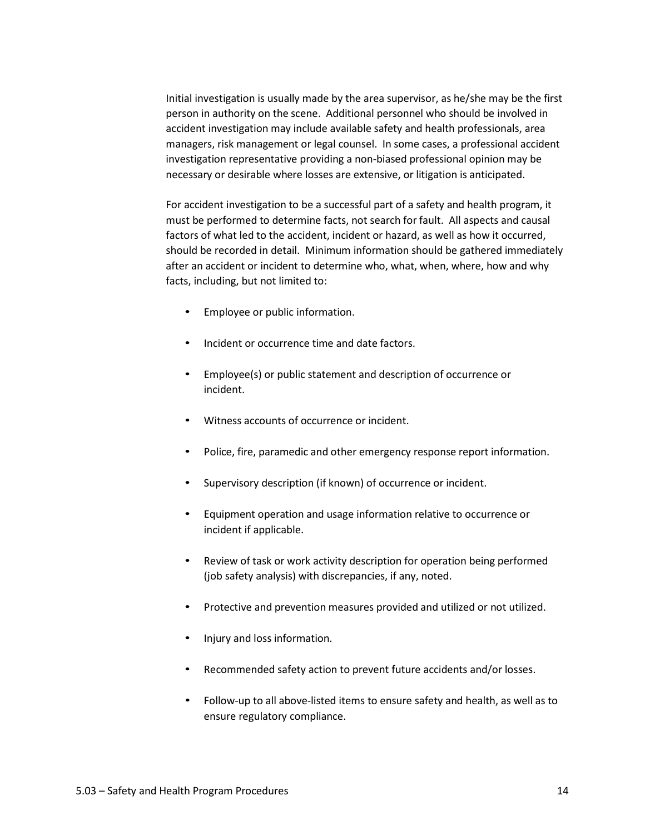Initial investigation is usually made by the area supervisor, as he/she may be the first person in authority on the scene. Additional personnel who should be involved in accident investigation may include available safety and health professionals, area managers, risk management or legal counsel. In some cases, a professional accident investigation representative providing a non-biased professional opinion may be necessary or desirable where losses are extensive, or litigation is anticipated.

For accident investigation to be a successful part of a safety and health program, it must be performed to determine facts, not search for fault. All aspects and causal factors of what led to the accident, incident or hazard, as well as how it occurred, should be recorded in detail. Minimum information should be gathered immediately after an accident or incident to determine who, what, when, where, how and why facts, including, but not limited to:

- Employee or public information.
- Incident or occurrence time and date factors.
- Employee(s) or public statement and description of occurrence or incident.
- Witness accounts of occurrence or incident.
- Police, fire, paramedic and other emergency response report information.
- Supervisory description (if known) of occurrence or incident.
- Equipment operation and usage information relative to occurrence or incident if applicable.
- Review of task or work activity description for operation being performed (job safety analysis) with discrepancies, if any, noted.
- Protective and prevention measures provided and utilized or not utilized.
- Injury and loss information.
- Recommended safety action to prevent future accidents and/or losses.
- Follow-up to all above-listed items to ensure safety and health, as well as to ensure regulatory compliance.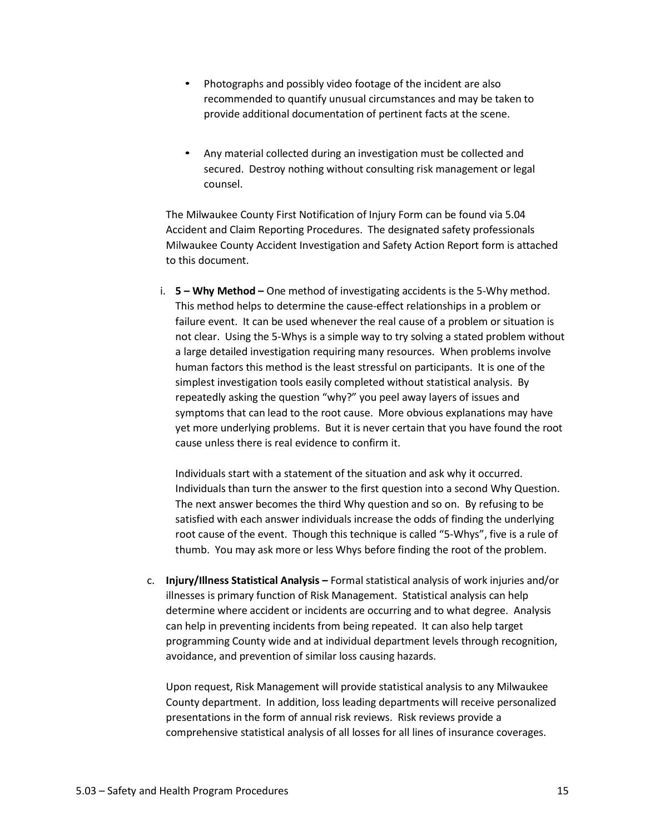- Photographs and possibly video footage of the incident are also recommended to quantify unusual circumstances and may be taken to provide additional documentation of pertinent facts at the scene.
- Any material collected during an investigation must be collected and secured. Destroy nothing without consulting risk management or legal counsel.

The Milwaukee County First Notification of Injury Form can be found via 5.04 Accident and Claim Reporting Procedures. The designated safety professionals Milwaukee County Accident Investigation and Safety Action Report form is attached to this document.

i. **5 – Why Method –** One method of investigating accidents is the 5-Why method. This method helps to determine the cause-effect relationships in a problem or failure event. It can be used whenever the real cause of a problem or situation is not clear. Using the 5-Whys is a simple way to try solving a stated problem without a large detailed investigation requiring many resources. When problems involve human factors this method is the least stressful on participants. It is one of the simplest investigation tools easily completed without statistical analysis. By repeatedly asking the question "why?" you peel away layers of issues and symptoms that can lead to the root cause. More obvious explanations may have yet more underlying problems. But it is never certain that you have found the root cause unless there is real evidence to confirm it.

Individuals start with a statement of the situation and ask why it occurred. Individuals than turn the answer to the first question into a second Why Question. The next answer becomes the third Why question and so on. By refusing to be satisfied with each answer individuals increase the odds of finding the underlying root cause of the event. Though this technique is called "5-Whys", five is a rule of thumb. You may ask more or less Whys before finding the root of the problem.

c. **Injury/Illness Statistical Analysis –** Formal statistical analysis of work injuries and/or illnesses is primary function of Risk Management. Statistical analysis can help determine where accident or incidents are occurring and to what degree. Analysis can help in preventing incidents from being repeated. It can also help target programming County wide and at individual department levels through recognition, avoidance, and prevention of similar loss causing hazards.

Upon request, Risk Management will provide statistical analysis to any Milwaukee County department. In addition, loss leading departments will receive personalized presentations in the form of annual risk reviews. Risk reviews provide a comprehensive statistical analysis of all losses for all lines of insurance coverages.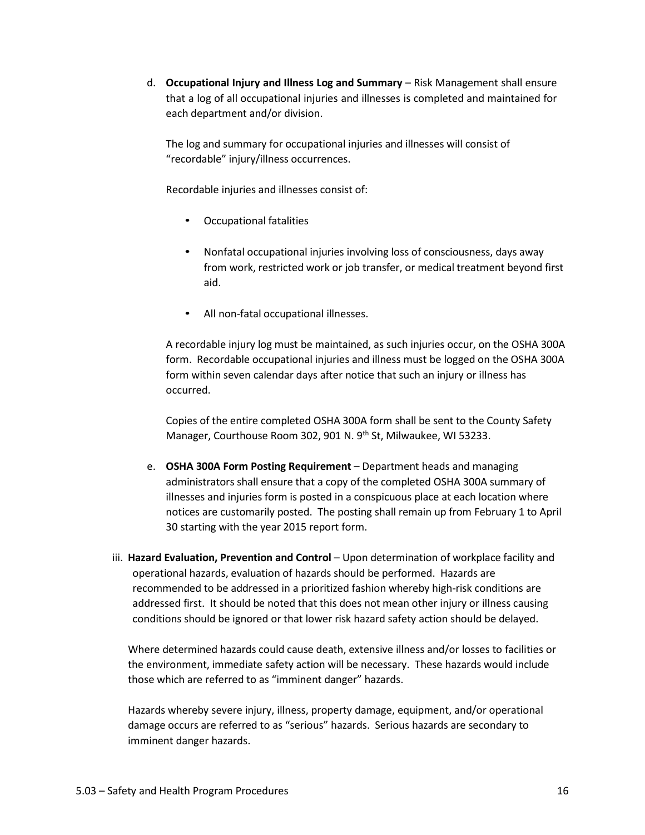d. **Occupational Injury and Illness Log and Summary** – Risk Management shall ensure that a log of all occupational injuries and illnesses is completed and maintained for each department and/or division.

The log and summary for occupational injuries and illnesses will consist of "recordable" injury/illness occurrences.

Recordable injuries and illnesses consist of:

- Occupational fatalities
- Nonfatal occupational injuries involving loss of consciousness, days away from work, restricted work or job transfer, or medical treatment beyond first aid.
- All non-fatal occupational illnesses.

A recordable injury log must be maintained, as such injuries occur, on the OSHA 300A form. Recordable occupational injuries and illness must be logged on the OSHA 300A form within seven calendar days after notice that such an injury or illness has occurred.

Copies of the entire completed OSHA 300A form shall be sent to the County Safety Manager, Courthouse Room 302, 901 N. 9<sup>th</sup> St, Milwaukee, WI 53233.

- e. **OSHA 300A Form Posting Requirement** Department heads and managing administrators shall ensure that a copy of the completed OSHA 300A summary of illnesses and injuries form is posted in a conspicuous place at each location where notices are customarily posted. The posting shall remain up from February 1 to April 30 starting with the year 2015 report form.
- iii. **Hazard Evaluation, Prevention and Control** Upon determination of workplace facility and operational hazards, evaluation of hazards should be performed. Hazards are recommended to be addressed in a prioritized fashion whereby high-risk conditions are addressed first. It should be noted that this does not mean other injury or illness causing conditions should be ignored or that lower risk hazard safety action should be delayed.

Where determined hazards could cause death, extensive illness and/or losses to facilities or the environment, immediate safety action will be necessary. These hazards would include those which are referred to as "imminent danger" hazards.

Hazards whereby severe injury, illness, property damage, equipment, and/or operational damage occurs are referred to as "serious" hazards. Serious hazards are secondary to imminent danger hazards.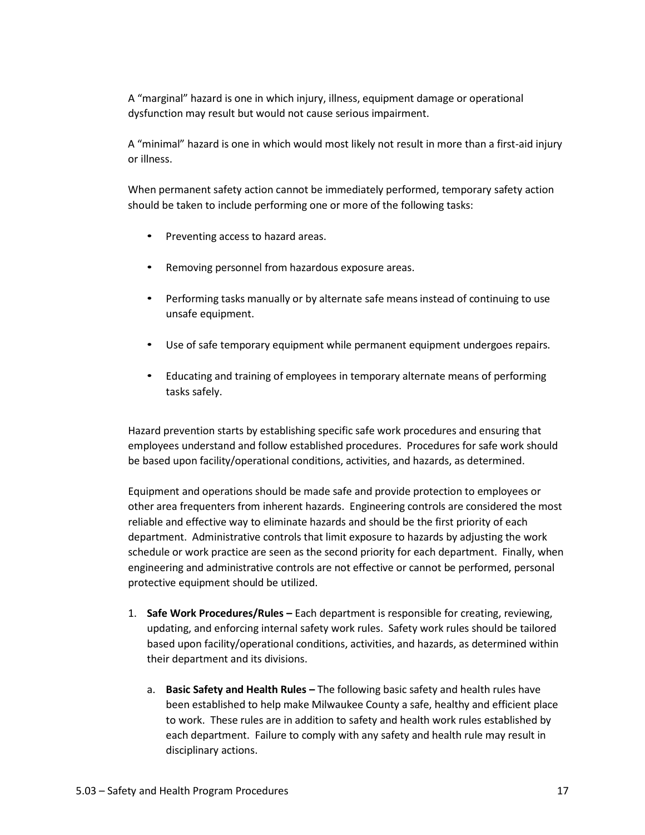A "marginal" hazard is one in which injury, illness, equipment damage or operational dysfunction may result but would not cause serious impairment.

A "minimal" hazard is one in which would most likely not result in more than a first-aid injury or illness.

When permanent safety action cannot be immediately performed, temporary safety action should be taken to include performing one or more of the following tasks:

- Preventing access to hazard areas.
- Removing personnel from hazardous exposure areas.
- Performing tasks manually or by alternate safe meansinstead of continuing to use unsafe equipment.
- Use of safe temporary equipment while permanent equipment undergoes repairs.
- Educating and training of employees in temporary alternate means of performing tasks safely.

Hazard prevention starts by establishing specific safe work procedures and ensuring that employees understand and follow established procedures. Procedures for safe work should be based upon facility/operational conditions, activities, and hazards, as determined.

Equipment and operations should be made safe and provide protection to employees or other area frequenters from inherent hazards. Engineering controls are considered the most reliable and effective way to eliminate hazards and should be the first priority of each department. Administrative controls that limit exposure to hazards by adjusting the work schedule or work practice are seen as the second priority for each department. Finally, when engineering and administrative controls are not effective or cannot be performed, personal protective equipment should be utilized.

- 1. **Safe Work Procedures/Rules –** Each department is responsible for creating, reviewing, updating, and enforcing internal safety work rules. Safety work rules should be tailored based upon facility/operational conditions, activities, and hazards, as determined within their department and its divisions.
	- a. **Basic Safety and Health Rules –** The following basic safety and health rules have been established to help make Milwaukee County a safe, healthy and efficient place to work. These rules are in addition to safety and health work rules established by each department. Failure to comply with any safety and health rule may result in disciplinary actions.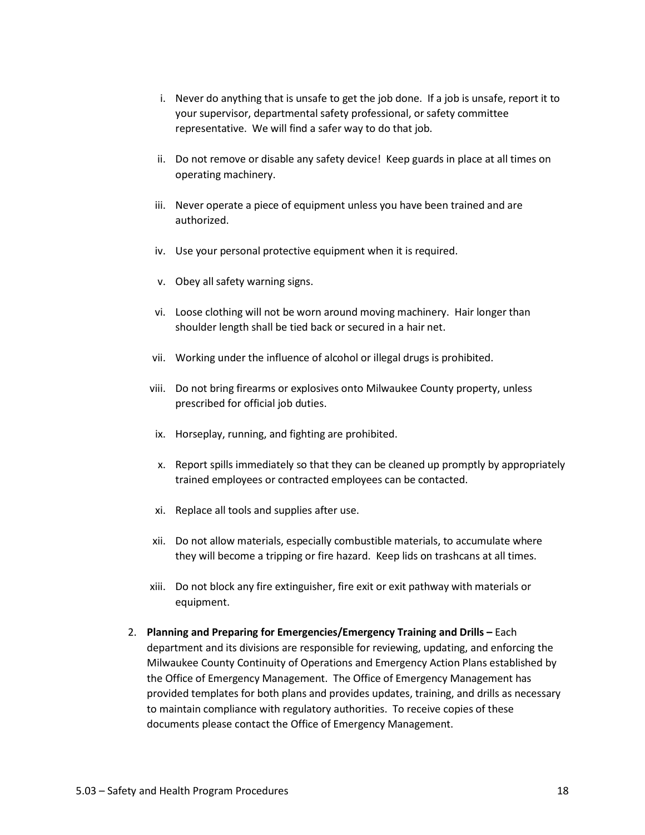- i. Never do anything that is unsafe to get the job done. If a job is unsafe, report it to your supervisor, departmental safety professional, or safety committee representative. We will find a safer way to do that job.
- ii. Do not remove or disable any safety device! Keep guards in place at all times on operating machinery.
- iii. Never operate a piece of equipment unless you have been trained and are authorized.
- iv. Use your personal protective equipment when it is required.
- v. Obey all safety warning signs.
- vi. Loose clothing will not be worn around moving machinery. Hair longer than shoulder length shall be tied back or secured in a hair net.
- vii. Working under the influence of alcohol or illegal drugs is prohibited.
- viii. Do not bring firearms or explosives onto Milwaukee County property, unless prescribed for official job duties.
- ix. Horseplay, running, and fighting are prohibited.
- x. Report spills immediately so that they can be cleaned up promptly by appropriately trained employees or contracted employees can be contacted.
- xi. Replace all tools and supplies after use.
- xii. Do not allow materials, especially combustible materials, to accumulate where they will become a tripping or fire hazard. Keep lids on trashcans at all times.
- xiii. Do not block any fire extinguisher, fire exit or exit pathway with materials or equipment.
- 2. **Planning and Preparing for Emergencies/Emergency Training and Drills –** Each department and its divisions are responsible for reviewing, updating, and enforcing the Milwaukee County Continuity of Operations and Emergency Action Plans established by the Office of Emergency Management. The Office of Emergency Management has provided templates for both plans and provides updates, training, and drills as necessary to maintain compliance with regulatory authorities. To receive copies of these documents please contact the Office of Emergency Management.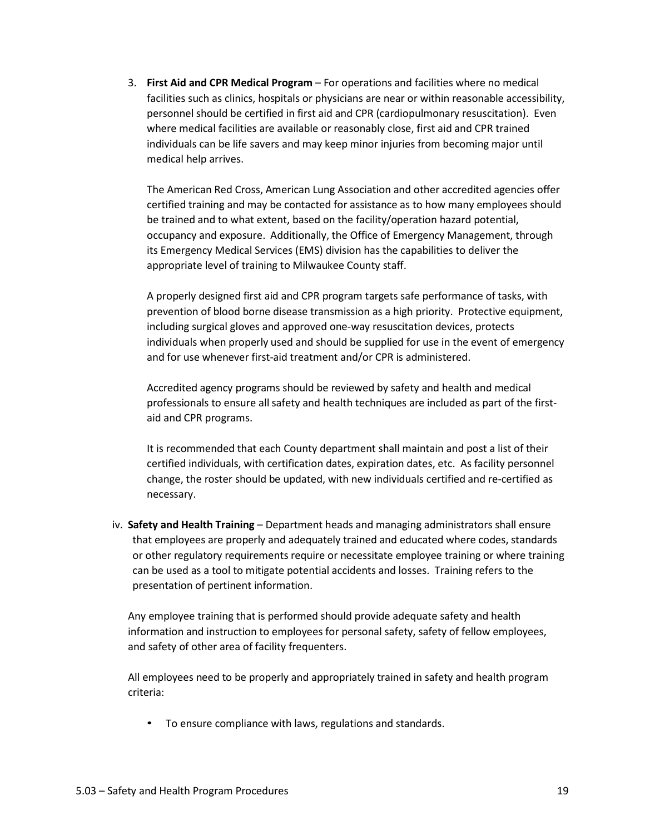3. **First Aid and CPR Medical Program** – For operations and facilities where no medical facilities such as clinics, hospitals or physicians are near or within reasonable accessibility, personnel should be certified in first aid and CPR (cardiopulmonary resuscitation). Even where medical facilities are available or reasonably close, first aid and CPR trained individuals can be life savers and may keep minor injuries from becoming major until medical help arrives.

The American Red Cross, American Lung Association and other accredited agencies offer certified training and may be contacted for assistance as to how many employees should be trained and to what extent, based on the facility/operation hazard potential, occupancy and exposure. Additionally, the Office of Emergency Management, through its Emergency Medical Services (EMS) division has the capabilities to deliver the appropriate level of training to Milwaukee County staff.

A properly designed first aid and CPR program targets safe performance of tasks, with prevention of blood borne disease transmission as a high priority. Protective equipment, including surgical gloves and approved one-way resuscitation devices, protects individuals when properly used and should be supplied for use in the event of emergency and for use whenever first-aid treatment and/or CPR is administered.

Accredited agency programs should be reviewed by safety and health and medical professionals to ensure allsafety and health techniques are included as part of the firstaid and CPR programs.

It is recommended that each County department shall maintain and post a list of their certified individuals, with certification dates, expiration dates, etc. As facility personnel change, the roster should be updated, with new individuals certified and re-certified as necessary.

iv. **Safety and Health Training** – Department heads and managing administrators shall ensure that employees are properly and adequately trained and educated where codes, standards or other regulatory requirements require or necessitate employee training or where training can be used as a tool to mitigate potential accidents and losses. Training refers to the presentation of pertinent information.

Any employee training that is performed should provide adequate safety and health information and instruction to employees for personal safety, safety of fellow employees, and safety of other area of facility frequenters.

All employees need to be properly and appropriately trained in safety and health program criteria:

• To ensure compliance with laws, regulations and standards.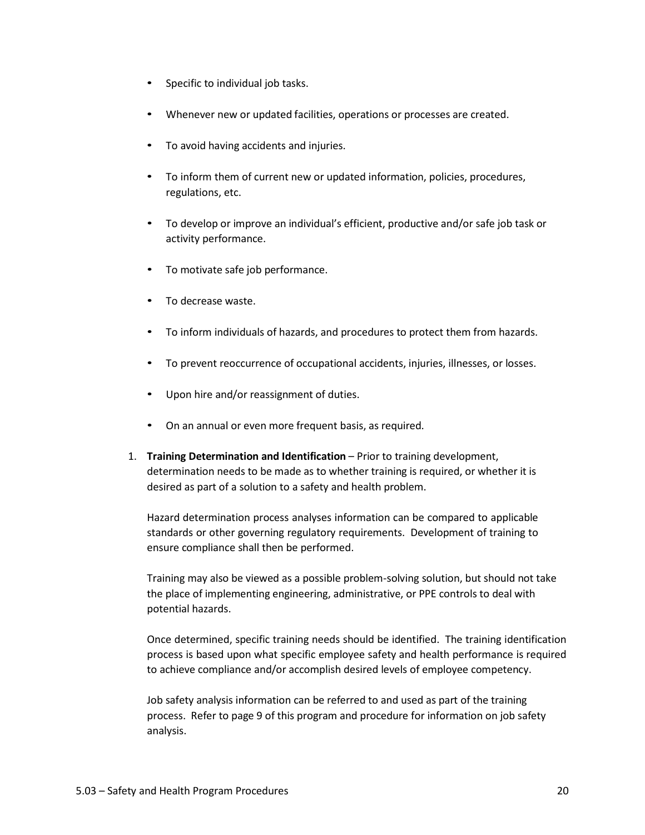- Specific to individual job tasks.
- Whenever new or updated facilities, operations or processes are created.
- To avoid having accidents and injuries.
- To inform them of current new or updated information, policies, procedures, regulations, etc.
- To develop or improve an individual's efficient, productive and/or safe job task or activity performance.
- To motivate safe job performance.
- To decrease waste.
- To inform individuals of hazards, and procedures to protect them from hazards.
- To prevent reoccurrence of occupational accidents, injuries, illnesses, or losses.
- Upon hire and/or reassignment of duties.
- On an annual or even more frequent basis, as required.
- 1. **Training Determination and Identification** Prior to training development, determination needs to be made as to whether training is required, or whether it is desired as part of a solution to a safety and health problem.

Hazard determination process analyses information can be compared to applicable standards or other governing regulatory requirements. Development of training to ensure compliance shall then be performed.

Training may also be viewed as a possible problem-solving solution, but should not take the place of implementing engineering, administrative, or PPE controls to deal with potential hazards.

Once determined, specific training needs should be identified. The training identification process is based upon what specific employee safety and health performance is required to achieve compliance and/or accomplish desired levels of employee competency.

Job safety analysis information can be referred to and used as part of the training process. Refer to page 9 of this program and procedure for information on job safety analysis.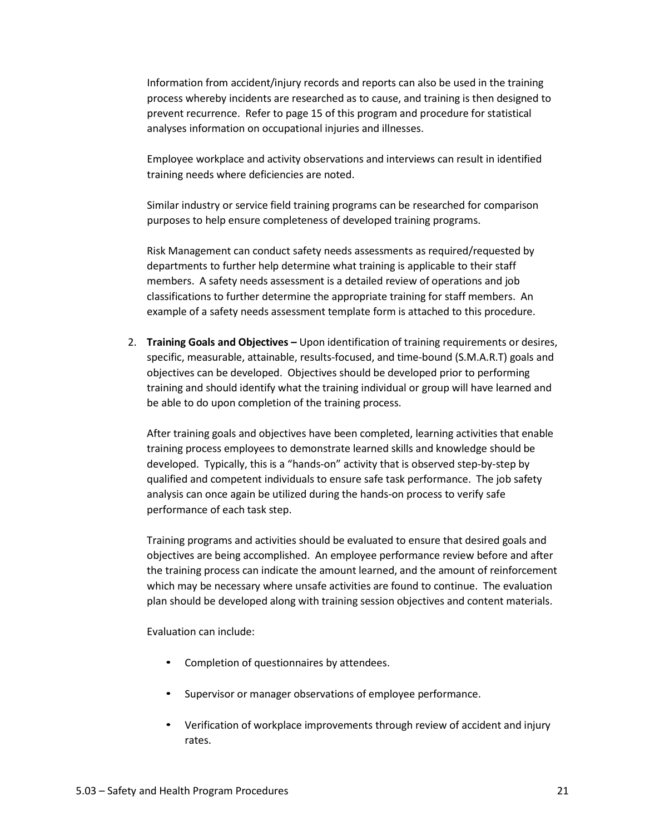Information from accident/injury records and reports can also be used in the training process whereby incidents are researched as to cause, and training is then designed to prevent recurrence. Refer to page 15 of this program and procedure for statistical analyses information on occupational injuries and illnesses.

Employee workplace and activity observations and interviews can result in identified training needs where deficiencies are noted.

Similar industry or service field training programs can be researched for comparison purposes to help ensure completeness of developed training programs.

Risk Management can conduct safety needs assessments as required/requested by departments to further help determine what training is applicable to their staff members. A safety needs assessment is a detailed review of operations and job classifications to further determine the appropriate training for staff members. An example of a safety needs assessment template form is attached to this procedure.

2. **Training Goals and Objectives –** Upon identification of training requirements or desires, specific, measurable, attainable, results-focused, and time-bound (S.M.A.R.T) goals and objectives can be developed. Objectives should be developed prior to performing training and should identify what the training individual or group will have learned and be able to do upon completion of the training process.

After training goals and objectives have been completed, learning activities that enable training process employees to demonstrate learned skills and knowledge should be developed. Typically, this is a "hands-on" activity that is observed step-by-step by qualified and competent individuals to ensure safe task performance. The job safety analysis can once again be utilized during the hands-on process to verify safe performance of each task step.

Training programs and activities should be evaluated to ensure that desired goals and objectives are being accomplished. An employee performance review before and after the training process can indicate the amount learned, and the amount of reinforcement which may be necessary where unsafe activities are found to continue. The evaluation plan should be developed along with training session objectives and content materials.

Evaluation can include:

- Completion of questionnaires by attendees.
- Supervisor or manager observations of employee performance.
- Verification of workplace improvements through review of accident and injury rates.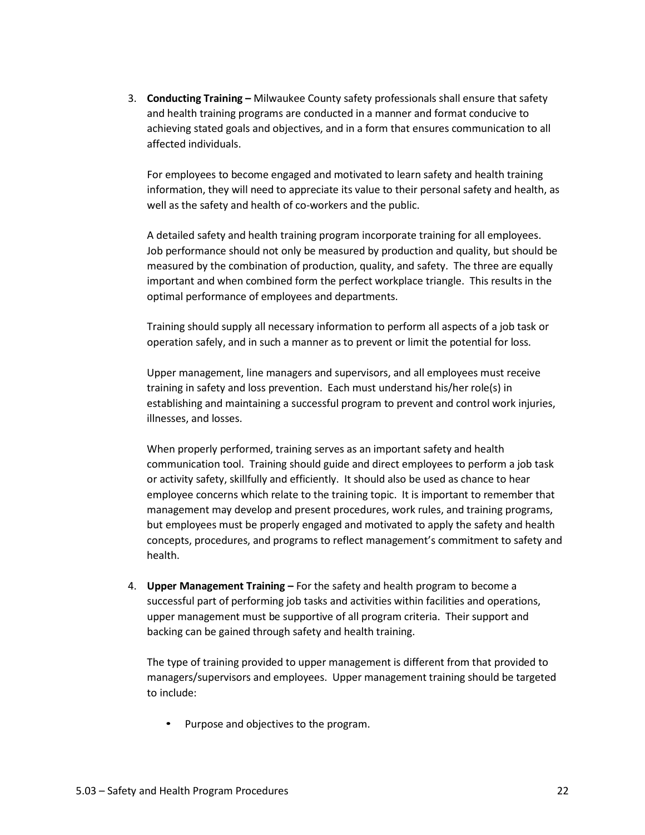3. **Conducting Training –** Milwaukee County safety professionals shall ensure that safety and health training programs are conducted in a manner and format conducive to achieving stated goals and objectives, and in a form that ensures communication to all affected individuals.

For employees to become engaged and motivated to learn safety and health training information, they will need to appreciate its value to their personal safety and health, as well as the safety and health of co-workers and the public.

A detailed safety and health training program incorporate training for all employees. Job performance should not only be measured by production and quality, but should be measured by the combination of production, quality, and safety. The three are equally important and when combined form the perfect workplace triangle. This results in the optimal performance of employees and departments.

Training should supply all necessary information to perform all aspects of a job task or operation safely, and in such a manner as to prevent or limit the potential for loss.

Upper management, line managers and supervisors, and all employees must receive training in safety and loss prevention. Each must understand his/her role(s) in establishing and maintaining a successful program to prevent and control work injuries, illnesses, and losses.

When properly performed, training serves as an important safety and health communication tool. Training should guide and direct employees to perform a job task or activity safety, skillfully and efficiently. It should also be used as chance to hear employee concerns which relate to the training topic. It is important to remember that management may develop and present procedures, work rules, and training programs, but employees must be properly engaged and motivated to apply the safety and health concepts, procedures, and programs to reflect management's commitment to safety and health.

4. **Upper Management Training –** For the safety and health program to become a successful part of performing job tasks and activities within facilities and operations, upper management must be supportive of all program criteria. Their support and backing can be gained through safety and health training.

The type of training provided to upper management is different from that provided to managers/supervisors and employees. Upper management training should be targeted to include:

• Purpose and objectives to the program.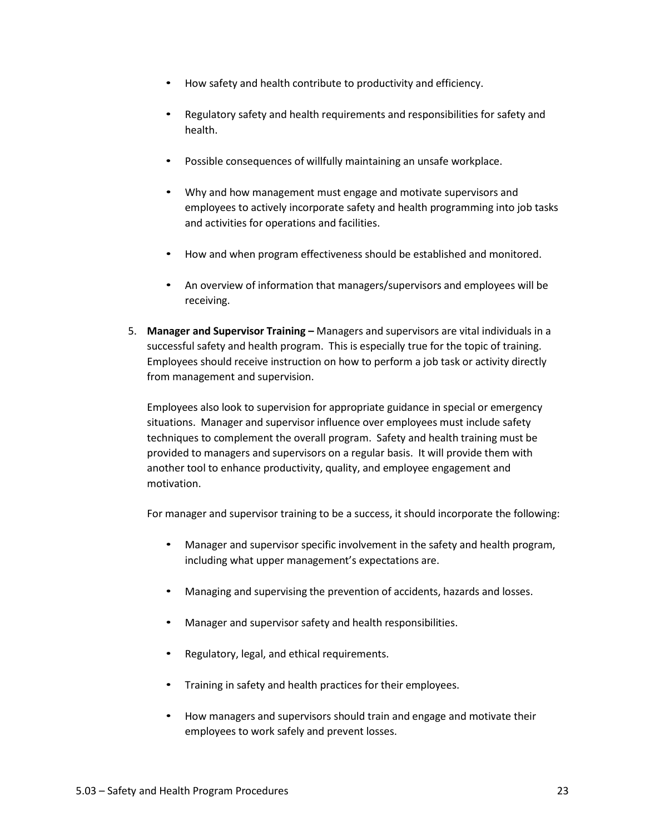- How safety and health contribute to productivity and efficiency.
- Regulatory safety and health requirements and responsibilities for safety and health.
- Possible consequences of willfully maintaining an unsafe workplace.
- Why and how management must engage and motivate supervisors and employees to actively incorporate safety and health programming into job tasks and activities for operations and facilities.
- How and when program effectiveness should be established and monitored.
- An overview of information that managers/supervisors and employees will be receiving.
- 5. **Manager and Supervisor Training –** Managers and supervisors are vital individuals in a successful safety and health program. This is especially true for the topic of training. Employees should receive instruction on how to perform a job task or activity directly from management and supervision.

Employees also look to supervision for appropriate guidance in special or emergency situations. Manager and supervisor influence over employees must include safety techniques to complement the overall program. Safety and health training must be provided to managers and supervisors on a regular basis. It will provide them with another tool to enhance productivity, quality, and employee engagement and motivation.

For manager and supervisor training to be a success, it should incorporate the following:

- Manager and supervisor specific involvement in the safety and health program, including what upper management's expectations are.
- Managing and supervising the prevention of accidents, hazards and losses.
- Manager and supervisor safety and health responsibilities.
- Regulatory, legal, and ethical requirements.
- Training in safety and health practices for their employees.
- How managers and supervisors should train and engage and motivate their employees to work safely and prevent losses.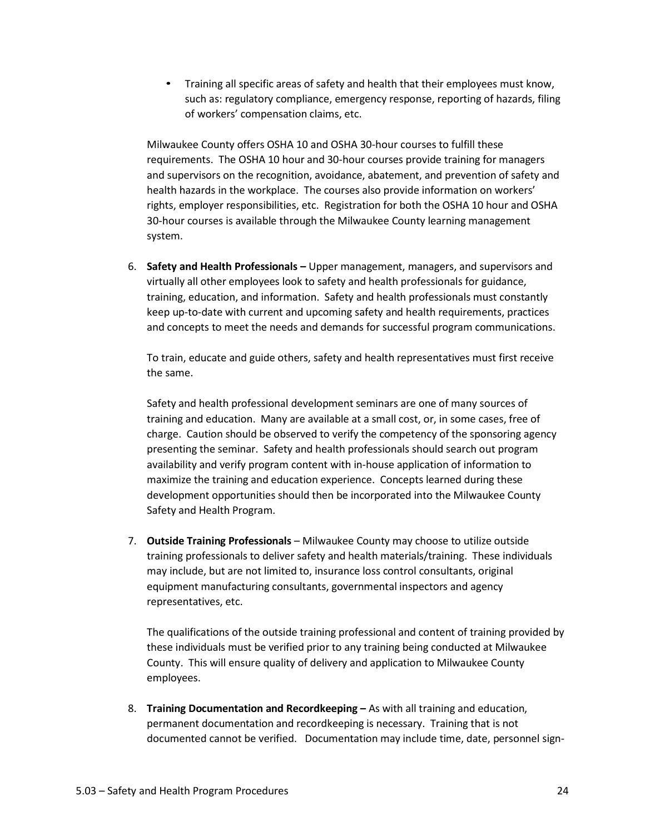• Training all specific areas of safety and health that their employees must know, such as: regulatory compliance, emergency response, reporting of hazards, filing of workers' compensation claims, etc.

Milwaukee County offers OSHA 10 and OSHA 30-hour courses to fulfill these requirements. The OSHA 10 hour and 30-hour courses provide training for managers and supervisors on the recognition, avoidance, abatement, and prevention of safety and health hazards in the workplace. The courses also provide information on workers' rights, employer responsibilities, etc. Registration for both the OSHA 10 hour and OSHA 30-hour courses is available through the Milwaukee County learning management system.

6. **Safety and Health Professionals –** Upper management, managers, and supervisors and virtually all other employees look to safety and health professionals for guidance, training, education, and information. Safety and health professionals must constantly keep up-to-date with current and upcoming safety and health requirements, practices and concepts to meet the needs and demands for successful program communications.

To train, educate and guide others, safety and health representatives must first receive the same.

Safety and health professional development seminars are one of many sources of training and education. Many are available at a small cost, or, in some cases, free of charge. Caution should be observed to verify the competency of the sponsoring agency presenting the seminar. Safety and health professionals should search out program availability and verify program content with in-house application of information to maximize the training and education experience. Concepts learned during these development opportunities should then be incorporated into the Milwaukee County Safety and Health Program.

7. **Outside Training Professionals** – Milwaukee County may choose to utilize outside training professionals to deliver safety and health materials/training. These individuals may include, but are not limited to, insurance loss control consultants, original equipment manufacturing consultants, governmental inspectors and agency representatives, etc.

The qualifications of the outside training professional and content of training provided by these individuals must be verified prior to any training being conducted at Milwaukee County. This will ensure quality of delivery and application to Milwaukee County employees.

8. **Training Documentation and Recordkeeping –** As with all training and education, permanent documentation and recordkeeping is necessary. Training that is not documented cannot be verified. Documentation may include time, date, personnel sign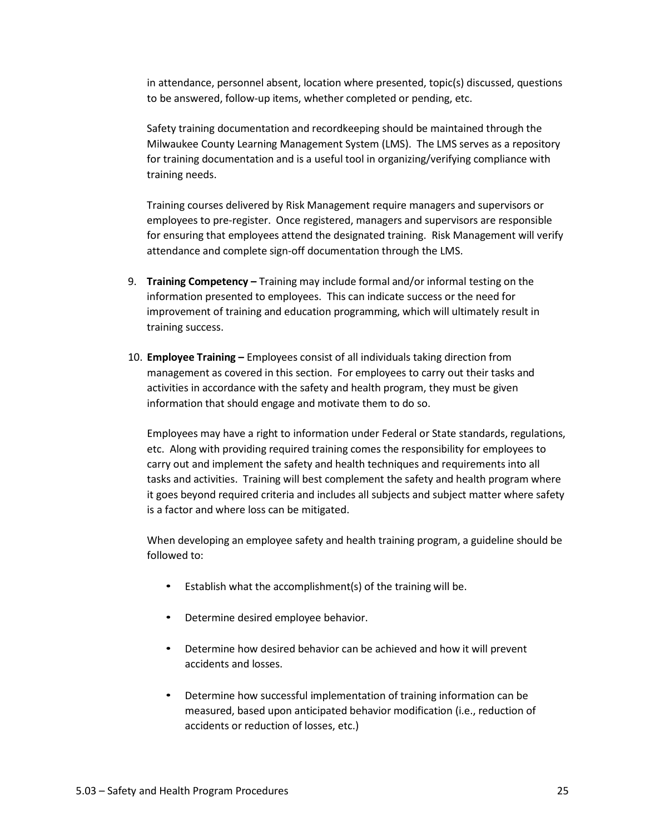in attendance, personnel absent, location where presented, topic(s) discussed, questions to be answered, follow-up items, whether completed or pending, etc.

Safety training documentation and recordkeeping should be maintained through the Milwaukee County Learning Management System (LMS). The LMS serves as a repository for training documentation and is a useful tool in organizing/verifying compliance with training needs.

Training courses delivered by Risk Management require managers and supervisors or employees to pre-register. Once registered, managers and supervisors are responsible for ensuring that employees attend the designated training. Risk Management will verify attendance and complete sign-off documentation through the LMS.

- 9. **Training Competency –** Training may include formal and/or informal testing on the information presented to employees. This can indicate success or the need for improvement of training and education programming, which will ultimately result in training success.
- 10. **Employee Training –** Employees consist of all individuals taking direction from management as covered in this section. For employees to carry out their tasks and activities in accordance with the safety and health program, they must be given information that should engage and motivate them to do so.

Employees may have a right to information under Federal or State standards, regulations, etc. Along with providing required training comes the responsibility for employees to carry out and implement the safety and health techniques and requirements into all tasks and activities. Training will best complement the safety and health program where it goes beyond required criteria and includes all subjects and subject matter where safety is a factor and where loss can be mitigated.

When developing an employee safety and health training program, a guideline should be followed to:

- Establish what the accomplishment(s) of the training will be.
- Determine desired employee behavior.
- Determine how desired behavior can be achieved and how it will prevent accidents and losses.
- Determine how successful implementation of training information can be measured, based upon anticipated behavior modification (i.e., reduction of accidents or reduction of losses, etc.)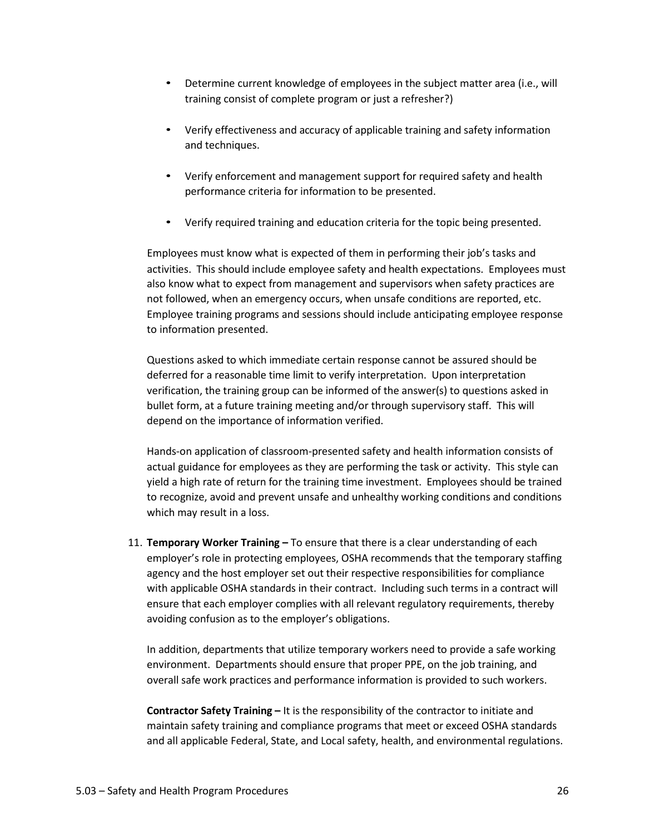- Determine current knowledge of employees in the subject matter area (i.e., will training consist of complete program or just a refresher?)
- Verify effectiveness and accuracy of applicable training and safety information and techniques.
- Verify enforcement and management support for required safety and health performance criteria for information to be presented.
- Verify required training and education criteria for the topic being presented.

Employees must know what is expected of them in performing their job's tasks and activities. This should include employee safety and health expectations. Employees must also know what to expect from management and supervisors when safety practices are not followed, when an emergency occurs, when unsafe conditions are reported, etc. Employee training programs and sessions should include anticipating employee response to information presented.

Questions asked to which immediate certain response cannot be assured should be deferred for a reasonable time limit to verify interpretation. Upon interpretation verification, the training group can be informed of the answer(s) to questions asked in bullet form, at a future training meeting and/or through supervisory staff. This will depend on the importance of information verified.

Hands-on application of classroom-presented safety and health information consists of actual guidance for employees as they are performing the task or activity. This style can yield a high rate of return for the training time investment. Employees should be trained to recognize, avoid and prevent unsafe and unhealthy working conditions and conditions which may result in a loss.

11. **Temporary Worker Training –** To ensure that there is a clear understanding of each employer's role in protecting employees, OSHA recommends that the temporary staffing agency and the host employer set out their respective responsibilities for compliance with applicable OSHA standards in their contract. Including such terms in a contract will ensure that each employer complies with all relevant regulatory requirements, thereby avoiding confusion as to the employer's obligations.

In addition, departments that utilize temporary workers need to provide a safe working environment. Departments should ensure that proper PPE, on the job training, and overall safe work practices and performance information is provided to such workers.

**Contractor Safety Training –** It is the responsibility of the contractor to initiate and maintain safety training and compliance programs that meet or exceed OSHA standards and all applicable Federal, State, and Local safety, health, and environmental regulations.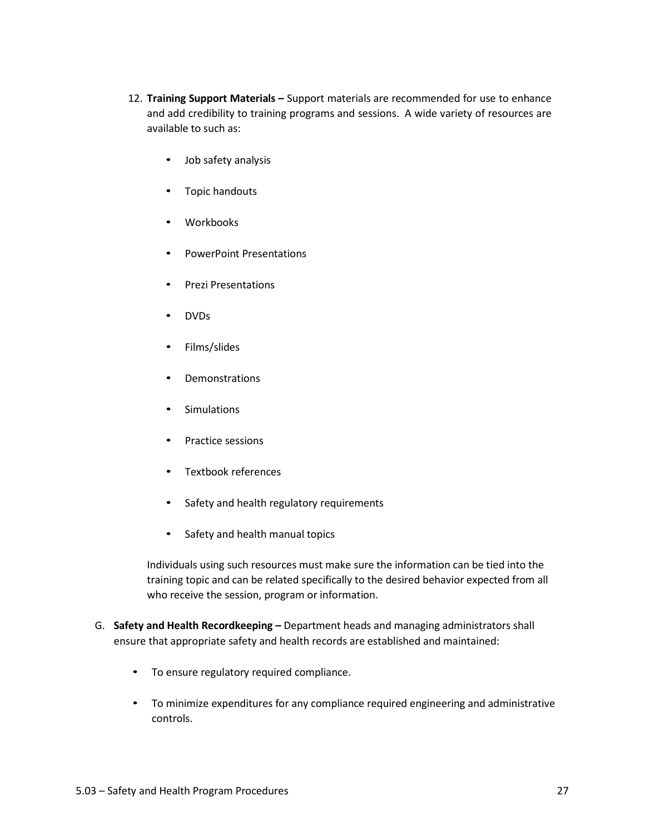- 12. **Training Support Materials –** Support materials are recommended for use to enhance and add credibility to training programs and sessions. A wide variety of resources are available to such as:
	- Job safety analysis
	- Topic handouts
	- Workbooks
	- PowerPoint Presentations
	- Prezi Presentations
	- DVDs
	- Films/slides
	- **Demonstrations**
	- Simulations
	- Practice sessions
	- Textbook references
	- Safety and health regulatory requirements
	- Safety and health manual topics

Individuals using such resources must make sure the information can be tied into the training topic and can be related specifically to the desired behavior expected from all who receive the session, program or information.

- G. **Safety and Health Recordkeeping –** Department heads and managing administrators shall ensure that appropriate safety and health records are established and maintained:
	- To ensure regulatory required compliance.
	- To minimize expenditures for any compliance required engineering and administrative controls.